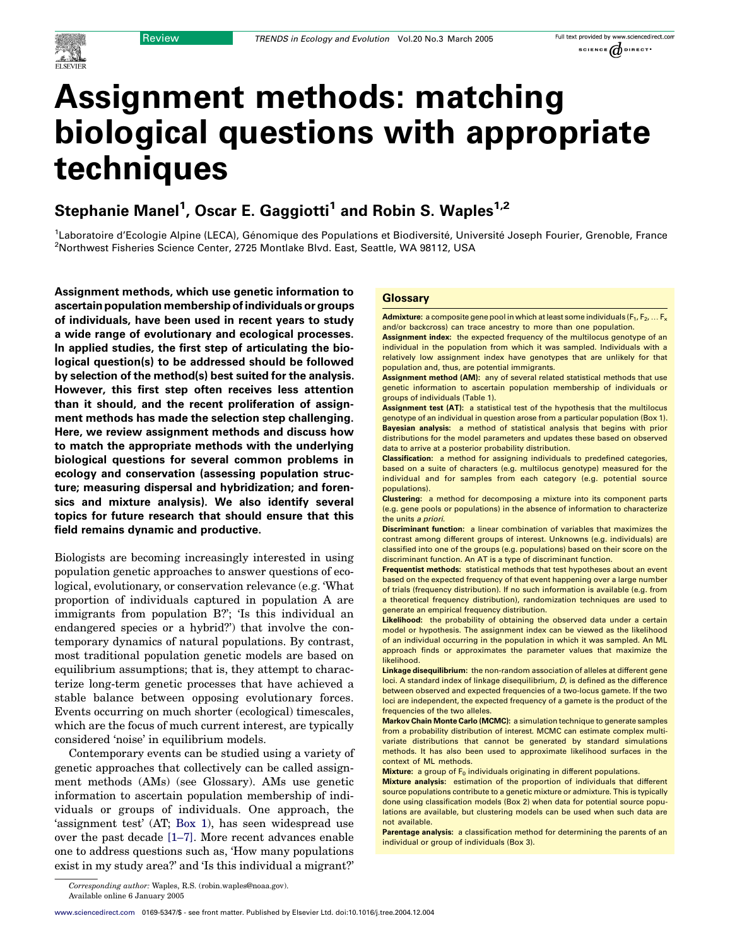# Assignment methods: matching biological questions with appropriate techniques

## Stephanie Manel<sup>1</sup>, Oscar E. Gaggiotti<sup>1</sup> and Robin S. Waples<sup>1,2</sup>

1Laboratoire d'Ecologie Alpine (LECA), Génomique des Populations et Biodiversité, Université Joseph Fourier, Grenoble, France<br><sup>2</sup>Northwest Eisberies Science Conter, 2725 Montlake Blyd, East, Seattle, WA 98112, USA <sup>2</sup>Northwest Fisheries Science Center, 2725 Montlake Blvd. East, Seattle, WA 98112, USA

Assignment methods, which use genetic information to ascertain population membership of individuals or groups of individuals, have been used in recent years to study a wide range of evolutionary and ecological processes. In applied studies, the first step of articulating the biological question(s) to be addressed should be followed by selection of the method(s) best suited for the analysis. However, this first step often receives less attention than it should, and the recent proliferation of assignment methods has made the selection step challenging. Here, we review assignment methods and discuss how to match the appropriate methods with the underlying biological questions for several common problems in ecology and conservation (assessing population structure; measuring dispersal and hybridization; and forensics and mixture analysis). We also identify several topics for future research that should ensure that this field remains dynamic and productive.

Biologists are becoming increasingly interested in using population genetic approaches to answer questions of ecological, evolutionary, or conservation relevance (e.g. 'What proportion of individuals captured in population A are immigrants from population B?'; 'Is this individual an endangered species or a hybrid?') that involve the contemporary dynamics of natural populations. By contrast, most traditional population genetic models are based on equilibrium assumptions; that is, they attempt to characterize long-term genetic processes that have achieved a stable balance between opposing evolutionary forces. Events occurring on much shorter (ecological) timescales, which are the focus of much current interest, are typically considered 'noise' in equilibrium models.

Contemporary events can be studied using a variety of genetic approaches that collectively can be called assignment methods (AMs) (see Glossary). AMs use genetic information to ascertain population membership of individuals or groups of individuals. One approach, the 'assignment test' (AT; Box 1), has seen widespread use over the past decade [\[1–7\]](#page-5-0). More recent advances enable one to address questions such as, 'How many populations exist in my study area?' and 'Is this individual a migrant?'

## **Glossary**

**Admixture:** a composite gene pool in which at least some individuals ( $F_1, F_2, \ldots F_k$ and/or backcross) can trace ancestry to more than one population.

Assignment index: the expected frequency of the multilocus genotype of an individual in the population from which it was sampled. Individuals with a relatively low assignment index have genotypes that are unlikely for that population and, thus, are potential immigrants.

Assignment method (AM): any of several related statistical methods that use genetic information to ascertain population membership of individuals or groups of individuals (Table 1).

Assignment test (AT): a statistical test of the hypothesis that the multilocus genotype of an individual in question arose from a particular population (Box 1). Bayesian analysis: a method of statistical analysis that begins with prior distributions for the model parameters and updates these based on observed data to arrive at a posterior probability distribution.

Classification: a method for assigning individuals to predefined categories, based on a suite of characters (e.g. multilocus genotype) measured for the individual and for samples from each category (e.g. potential source populations).

Clustering: a method for decomposing a mixture into its component parts (e.g. gene pools or populations) in the absence of information to characterize the units a priori.

Discriminant function: a linear combination of variables that maximizes the contrast among different groups of interest. Unknowns (e.g. individuals) are classified into one of the groups (e.g. populations) based on their score on the discriminant function. An AT is a type of discriminant function.

Frequentist methods: statistical methods that test hypotheses about an event based on the expected frequency of that event happening over a large number of trials (frequency distribution). If no such information is available (e.g. from a theoretical frequency distribution), randomization techniques are used to generate an empirical frequency distribution.

Likelihood: the probability of obtaining the observed data under a certain model or hypothesis. The assignment index can be viewed as the likelihood of an individual occurring in the population in which it was sampled. An ML approach finds or approximates the parameter values that maximize the likelihood.

Linkage disequilibrium: the non-random association of alleles at different gene loci. A standard index of linkage disequilibrium, D, is defined as the difference between observed and expected frequencies of a two-locus gamete. If the two loci are independent, the expected frequency of a gamete is the product of the frequencies of the two alleles.

Markov Chain Monte Carlo (MCMC): a simulation technique to generate samples from a probability distribution of interest. MCMC can estimate complex multivariate distributions that cannot be generated by standard simulations methods. It has also been used to approximate likelihood surfaces in the context of ML methods.

**Mixture:** a group of  $F_0$  individuals originating in different populations.

Mixture analysis: estimation of the proportion of individuals that different source populations contribute to a genetic mixture or admixture. This is typically done using classification models (Box 2) when data for potential source populations are available, but clustering models can be used when such data are not available.

Parentage analysis: a classification method for determining the parents of an individual or group of individuals (Box 3).

Corresponding author: Waples, R.S. (robin.waples@noaa.gov). Available online 6 January 2005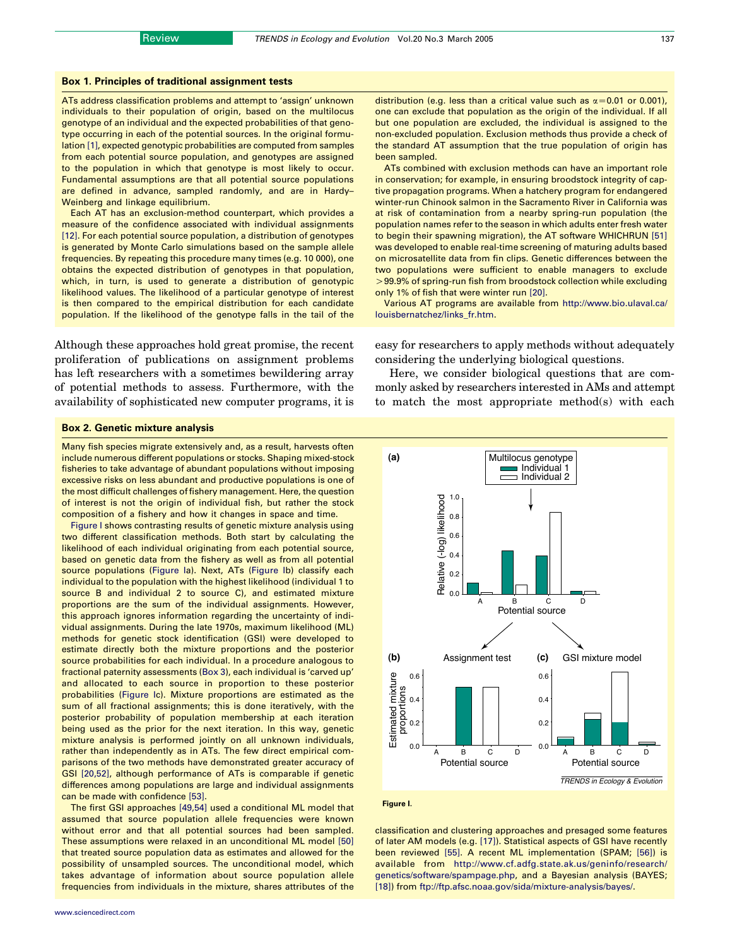## Box 1. Principles of traditional assignment tests

ATs address classification problems and attempt to 'assign' unknown individuals to their population of origin, based on the multilocus genotype of an individual and the expected probabilities of that genotype occurring in each of the potential sources. In the original formulation [\[1\],](#page-5-0) expected genotypic probabilities are computed from samples from each potential source population, and genotypes are assigned to the population in which that genotype is most likely to occur. Fundamental assumptions are that all potential source populations are defined in advance, sampled randomly, and are in Hardy– Weinberg and linkage equilibrium.

Each AT has an exclusion-method counterpart, which provides a measure of the confidence associated with individual assignments [\[12\]](#page-5-0). For each potential source population, a distribution of genotypes is generated by Monte Carlo simulations based on the sample allele frequencies. By repeating this procedure many times (e.g. 10 000), one obtains the expected distribution of genotypes in that population, which, in turn, is used to generate a distribution of genotypic likelihood values. The likelihood of a particular genotype of interest is then compared to the empirical distribution for each candidate population. If the likelihood of the genotype falls in the tail of the

Although these approaches hold great promise, the recent proliferation of publications on assignment problems has left researchers with a sometimes bewildering array of potential methods to assess. Furthermore, with the availability of sophisticated new computer programs, it is distribution (e.g. less than a critical value such as  $\alpha$  = 0.01 or 0.001), one can exclude that population as the origin of the individual. If all but one population are excluded, the individual is assigned to the non-excluded population. Exclusion methods thus provide a check of the standard AT assumption that the true population of origin has been sampled.

ATs combined with exclusion methods can have an important role in conservation; for example, in ensuring broodstock integrity of captive propagation programs. When a hatchery program for endangered winter-run Chinook salmon in the Sacramento River in California was at risk of contamination from a nearby spring-run population (the population names refer to the season in which adults enter fresh water to begin their spawning migration), the AT software WHICHRUN [\[51\]](#page-6-0) was developed to enable real-time screening of maturing adults based on microsatellite data from fin clips. Genetic differences between the two populations were sufficient to enable managers to exclude  $>$ 99.9% of spring-run fish from broodstock collection while excluding only 1% of fish that were winter run [\[20\]](#page-6-0).

Various AT programs are available from [http://www.bio.ulaval.ca/](http://www.bio.ulaval.ca/louisbernatchez/links_fr.htm) [louisbernatchez/links\\_fr.htm](http://www.bio.ulaval.ca/louisbernatchez/links_fr.htm).

easy for researchers to apply methods without adequately considering the underlying biological questions.

Here, we consider biological questions that are commonly asked by researchers interested in AMs and attempt to match the most appropriate method(s) with each

### Box 2. Genetic mixture analysis

Many fish species migrate extensively and, as a result, harvests often include numerous different populations or stocks. Shaping mixed-stock fisheries to take advantage of abundant populations without imposing excessive risks on less abundant and productive populations is one of the most difficult challenges of fishery management. Here, the question of interest is not the origin of individual fish, but rather the stock composition of a fishery and how it changes in space and time.

[Figure I](#page-1-0) shows contrasting results of genetic mixture analysis using two different classification methods. Both start by calculating the likelihood of each individual originating from each potential source, based on genetic data from the fishery as well as from all potential source populations ([Figure I](#page-1-0)a). Next, ATs [\(Figure I](#page-1-0)b) classify each individual to the population with the highest likelihood (individual 1 to source B and individual 2 to source C), and estimated mixture proportions are the sum of the individual assignments. However, this approach ignores information regarding the uncertainty of individual assignments. During the late 1970s, maximum likelihood (ML) methods for genetic stock identification (GSI) were developed to estimate directly both the mixture proportions and the posterior source probabilities for each individual. In a procedure analogous to fractional paternity assessments (Box 3), each individual is 'carved up' and allocated to each source in proportion to these posterior probabilities [\(Figure Ic](#page-1-0)). Mixture proportions are estimated as the sum of all fractional assignments; this is done iteratively, with the posterior probability of population membership at each iteration being used as the prior for the next iteration. In this way, genetic mixture analysis is performed jointly on all unknown individuals, rather than independently as in ATs. The few direct empirical comparisons of the two methods have demonstrated greater accuracy of GSI [\[20,52\],](#page-6-0) although performance of ATs is comparable if genetic differences among populations are large and individual assignments can be made with confidence [\[53\].](#page-6-0)

<span id="page-1-0"></span>The first GSI approaches [\[49,54\]](#page-6-0) used a conditional ML model that assumed that source population allele frequencies were known without error and that all potential sources had been sampled. These assumptions were relaxed in an unconditional ML model [\[50\]](#page-6-0) that treated source population data as estimates and allowed for the possibility of unsampled sources. The unconditional model, which takes advantage of information about source population allele frequencies from individuals in the mixture, shares attributes of the





classification and clustering approaches and presaged some features of later AM models (e.g. [\[17\]\)](#page-6-0). Statistical aspects of GSI have recently been reviewed [\[55\]](#page-6-0). A recent ML implementation (SPAM; [\[56\]](#page-6-0)) is available from [http://www.cf.adfg.state.ak.us/geninfo/research/](http://www.cf.adfg.state.ak.us/geninfo/research/genetics/software/spampage.php) [genetics/software/spampage.php](http://www.cf.adfg.state.ak.us/geninfo/research/genetics/software/spampage.php), and a Bayesian analysis (BAYES; [\[18\]](#page-6-0)) from [ftp://ftp.afsc.noaa.gov/sida/mixture-analysis/bayes/](http://ftp://ftp.afsc.noaa.gov/sida/mixture-analysis/bayes/).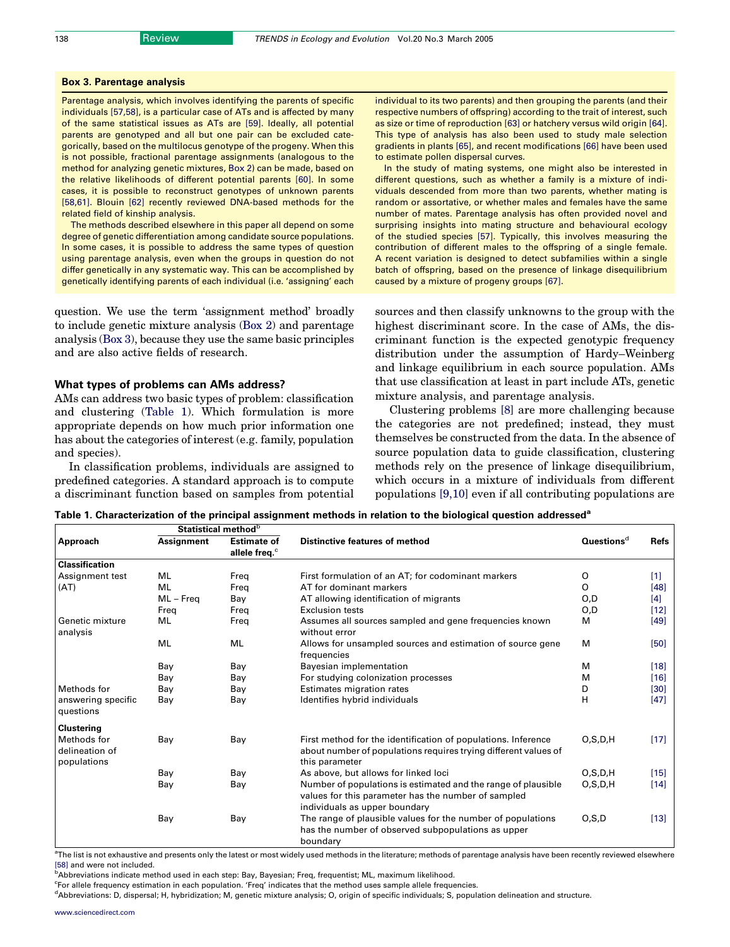## Box 3. Parentage analysis

Parentage analysis, which involves identifying the parents of specific individuals [\[57,58\]](#page-6-0), is a particular case of ATs and is affected by many of the same statistical issues as ATs are [\[59\]](#page-6-0). Ideally, all potential parents are genotyped and all but one pair can be excluded categorically, based on the multilocus genotype of the progeny. When this is not possible, fractional parentage assignments (analogous to the method for analyzing genetic mixtures, Box 2) can be made, based on the relative likelihoods of different potential parents [\[60\]](#page-6-0). In some cases, it is possible to reconstruct genotypes of unknown parents [\[58,61\]](#page-6-0). Blouin [\[62\]](#page-6-0) recently reviewed DNA-based methods for the related field of kinship analysis.

The methods described elsewhere in this paper all depend on some degree of genetic differentiation among candidate source populations. In some cases, it is possible to address the same types of question using parentage analysis, even when the groups in question do not differ genetically in any systematic way. This can be accomplished by genetically identifying parents of each individual (i.e. 'assigning' each

question. We use the term 'assignment method' broadly to include genetic mixture analysis (Box 2) and parentage analysis (Box 3), because they use the same basic principles and are also active fields of research.

## What types of problems can AMs address?

AMs can address two basic types of problem: classification and clustering ([Table 1](#page-2-0)). Which formulation is more appropriate depends on how much prior information one has about the categories of interest (e.g. family, population and species).

In classification problems, individuals are assigned to predefined categories. A standard approach is to compute a discriminant function based on samples from potential individual to its two parents) and then grouping the parents (and their respective numbers of offspring) according to the trait of interest, such as size or time of reproduction [\[63\]](#page-6-0) or hatchery versus wild origin [\[64\].](#page-6-0) This type of analysis has also been used to study male selection gradients in plants [\[65\],](#page-6-0) and recent modifications [\[66\]](#page-6-0) have been used to estimate pollen dispersal curves.

In the study of mating systems, one might also be interested in different questions, such as whether a family is a mixture of individuals descended from more than two parents, whether mating is random or assortative, or whether males and females have the same number of mates. Parentage analysis has often provided novel and surprising insights into mating structure and behavioural ecology of the studied species [\[57\].](#page-6-0) Typically, this involves measuring the contribution of different males to the offspring of a single female. A recent variation is designed to detect subfamilies within a single batch of offspring, based on the presence of linkage disequilibrium caused by a mixture of progeny groups [\[67\].](#page-6-0)

sources and then classify unknowns to the group with the highest discriminant score. In the case of AMs, the discriminant function is the expected genotypic frequency distribution under the assumption of Hardy–Weinberg and linkage equilibrium in each source population. AMs that use classification at least in part include ATs, genetic mixture analysis, and parentage analysis.

Clustering problems [\[8\]](#page-5-0) are more challenging because the categories are not predefined; instead, they must themselves be constructed from the data. In the absence of source population data to guide classification, clustering methods rely on the presence of linkage disequilibrium, which occurs in a mixture of individuals from different populations [\[9,10\]](#page-5-0) even if all contributing populations are

|  | Table 1. Characterization of the principal assignment methods in relation to the biological question addressed <sup>a</sup> |  |  |
|--|-----------------------------------------------------------------------------------------------------------------------------|--|--|
|--|-----------------------------------------------------------------------------------------------------------------------------|--|--|

|                                              | Statistical method <sup>b</sup> |                           |                                                                                                                                                       |                        |             |
|----------------------------------------------|---------------------------------|---------------------------|-------------------------------------------------------------------------------------------------------------------------------------------------------|------------------------|-------------|
| Approach                                     | Assignment                      | <b>Estimate of</b>        | <b>Distinctive features of method</b>                                                                                                                 | Questions <sup>d</sup> | <b>Refs</b> |
|                                              |                                 | allele freq. <sup>c</sup> |                                                                                                                                                       |                        |             |
| <b>Classification</b>                        |                                 |                           |                                                                                                                                                       |                        |             |
| Assignment test                              | ML                              | Freg                      | First formulation of an AT; for codominant markers                                                                                                    | O                      | $[1]$       |
| (AT)                                         | ML                              | Freg                      | AT for dominant markers                                                                                                                               | $\Omega$               | $[48]$      |
|                                              | ML – Freg                       | Bay                       | AT allowing identification of migrants                                                                                                                | O, D                   | $[4]$       |
|                                              | Freg                            | Freg                      | <b>Exclusion tests</b>                                                                                                                                | 0,D                    | $[12]$      |
| Genetic mixture<br>analysis                  | ML                              | Freq                      | Assumes all sources sampled and gene frequencies known<br>without error                                                                               | м                      | $[49]$      |
|                                              | ML                              | ML                        | Allows for unsampled sources and estimation of source gene<br>frequencies                                                                             | м                      | $[50]$      |
|                                              | Bay                             | Bay                       | Bayesian implementation                                                                                                                               | м                      | $[18]$      |
|                                              | Bay                             | Bay                       | For studying colonization processes                                                                                                                   | м                      | $[16]$      |
| Methods for                                  | Bay                             | Bay                       | Estimates migration rates                                                                                                                             | D                      | $[30]$      |
| answering specific<br>questions              | Bay                             | Bay                       | Identifies hybrid individuals                                                                                                                         | н                      | $[47]$      |
| <b>Clustering</b>                            |                                 |                           |                                                                                                                                                       |                        |             |
| Methods for<br>delineation of<br>populations | Bay                             | Bay                       | First method for the identification of populations. Inference<br>about number of populations requires trying different values of<br>this parameter    | O, S, D, H             | $[17]$      |
|                                              | Bay                             | Bay                       | As above, but allows for linked loci                                                                                                                  | O, S, D, H             | $[15]$      |
|                                              | Bay                             | Bay                       | Number of populations is estimated and the range of plausible<br>values for this parameter has the number of sampled<br>individuals as upper boundary | O, S, D, H             | $[14]$      |
|                                              | Bay                             | Bay                       | The range of plausible values for the number of populations<br>has the number of observed subpopulations as upper<br>boundary                         | O, S, D                | $[13]$      |

 $^{\rm a}$ The list is not exhaustive and presents only the latest or most widely used methods in the literature; methods of parentage analysis have been recently reviewed elsewhere [\[58\]](#page-6-0) and were not included.

<sup>b</sup>Abbreviations indicate method used in each step: Bay, Bayesian; Freq, frequentist; ML, maximum likelihood.

<sup>c</sup>For allele frequency estimation in each population. 'Freq' indicates that the method uses sample allele frequencies.

<span id="page-2-0"></span>d Abbreviations: D, dispersal; H, hybridization; M, genetic mixture analysis; O, origin of specific individuals; S, population delineation and structure.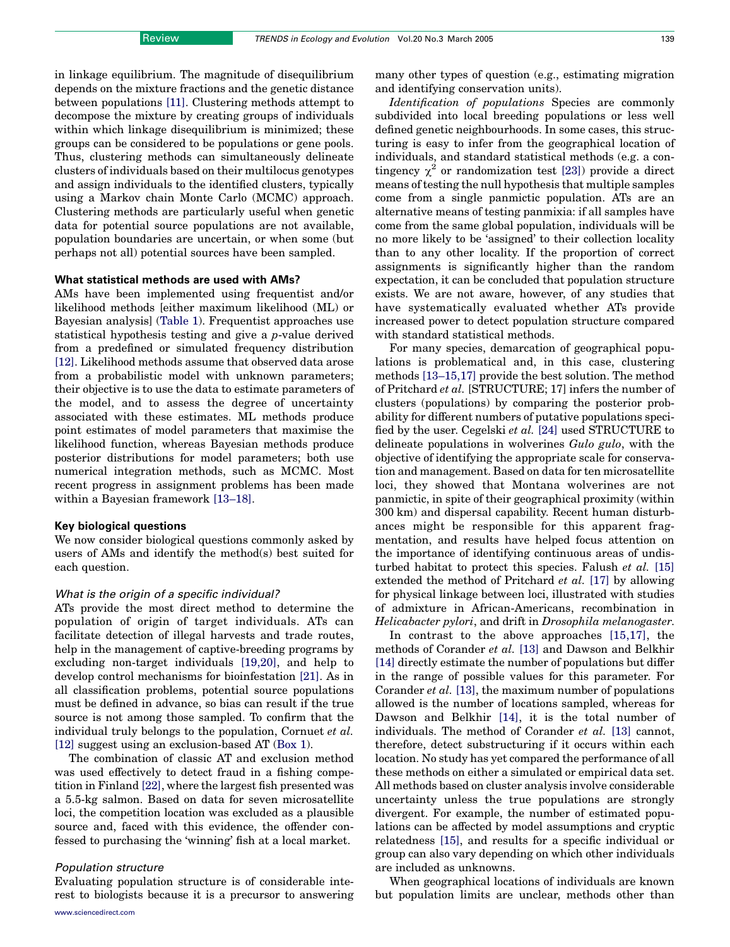in linkage equilibrium. The magnitude of disequilibrium depends on the mixture fractions and the genetic distance between populations [\[11\].](#page-5-0) Clustering methods attempt to decompose the mixture by creating groups of individuals within which linkage disequilibrium is minimized; these groups can be considered to be populations or gene pools. Thus, clustering methods can simultaneously delineate clusters of individuals based on their multilocus genotypes and assign individuals to the identified clusters, typically using a Markov chain Monte Carlo (MCMC) approach. Clustering methods are particularly useful when genetic data for potential source populations are not available, population boundaries are uncertain, or when some (but perhaps not all) potential sources have been sampled.

## What statistical methods are used with AMs?

AMs have been implemented using frequentist and/or likelihood methods [either maximum likelihood (ML) or Bayesian analysis] [\(Table 1](#page-2-0)). Frequentist approaches use statistical hypothesis testing and give a p-value derived from a predefined or simulated frequency distribution [\[12\].](#page-5-0) Likelihood methods assume that observed data arose from a probabilistic model with unknown parameters; their objective is to use the data to estimate parameters of the model, and to assess the degree of uncertainty associated with these estimates. ML methods produce point estimates of model parameters that maximise the likelihood function, whereas Bayesian methods produce posterior distributions for model parameters; both use numerical integration methods, such as MCMC. Most recent progress in assignment problems has been made within a Bayesian framework [\[13–18\]](#page-5-0).

### Key biological questions

We now consider biological questions commonly asked by users of AMs and identify the method(s) best suited for each question.

## What is the origin of a specific individual?

ATs provide the most direct method to determine the population of origin of target individuals. ATs can facilitate detection of illegal harvests and trade routes, help in the management of captive-breeding programs by excluding non-target individuals [\[19,20\]](#page-6-0), and help to develop control mechanisms for bioinfestation [\[21\]](#page-6-0). As in all classification problems, potential source populations must be defined in advance, so bias can result if the true source is not among those sampled. To confirm that the individual truly belongs to the population, Cornuet et al. [\[12\]](#page-5-0) suggest using an exclusion-based AT (Box 1).

The combination of classic AT and exclusion method was used effectively to detect fraud in a fishing competition in Finland [\[22\]](#page-6-0), where the largest fish presented was a 5.5-kg salmon. Based on data for seven microsatellite loci, the competition location was excluded as a plausible source and, faced with this evidence, the offender confessed to purchasing the 'winning' fish at a local market.

## Population structure

Evaluating population structure is of considerable interest to biologists because it is a precursor to answering many other types of question (e.g., estimating migration and identifying conservation units).

Identification of populations Species are commonly subdivided into local breeding populations or less well defined genetic neighbourhoods. In some cases, this structuring is easy to infer from the geographical location of individuals, and standard statistical methods (e.g. a contingency  $\chi^2$  or randomization test [\[23\]\)](#page-6-0) provide a direct means of testing the null hypothesis that multiple samples come from a single panmictic population. ATs are an alternative means of testing panmixia: if all samples have come from the same global population, individuals will be no more likely to be 'assigned' to their collection locality than to any other locality. If the proportion of correct assignments is significantly higher than the random expectation, it can be concluded that population structure exists. We are not aware, however, of any studies that have systematically evaluated whether ATs provide increased power to detect population structure compared with standard statistical methods.

For many species, demarcation of geographical populations is problematical and, in this case, clustering methods [\[13–15,17\]](#page-5-0) provide the best solution. The method of Pritchard et al. [STRUCTURE; 17] infers the number of clusters (populations) by comparing the posterior probability for different numbers of putative populations specified by the user. Cegelski et al. [\[24\]](#page-6-0) used STRUCTURE to delineate populations in wolverines Gulo gulo, with the objective of identifying the appropriate scale for conservation and management. Based on data for ten microsatellite loci, they showed that Montana wolverines are not panmictic, in spite of their geographical proximity (within 300 km) and dispersal capability. Recent human disturbances might be responsible for this apparent fragmentation, and results have helped focus attention on the importance of identifying continuous areas of undisturbed habitat to protect this species. Falush et al. [\[15\]](#page-6-0) extended the method of Pritchard et al. [\[17\]](#page-6-0) by allowing for physical linkage between loci, illustrated with studies of admixture in African-Americans, recombination in Helicabacter pylori, and drift in Drosophila melanogaster.

In contrast to the above approaches [\[15,17\]](#page-6-0), the methods of Corander et al. [\[13\]](#page-5-0) and Dawson and Belkhir [\[14\]](#page-5-0) directly estimate the number of populations but differ in the range of possible values for this parameter. For Corander et al. [\[13\]](#page-5-0), the maximum number of populations allowed is the number of locations sampled, whereas for Dawson and Belkhir [\[14\]](#page-5-0), it is the total number of individuals. The method of Corander et al. [\[13\]](#page-5-0) cannot, therefore, detect substructuring if it occurs within each location. No study has yet compared the performance of all these methods on either a simulated or empirical data set. All methods based on cluster analysis involve considerable uncertainty unless the true populations are strongly divergent. For example, the number of estimated populations can be affected by model assumptions and cryptic relatedness [\[15\],](#page-6-0) and results for a specific individual or group can also vary depending on which other individuals are included as unknowns.

When geographical locations of individuals are known but population limits are unclear, methods other than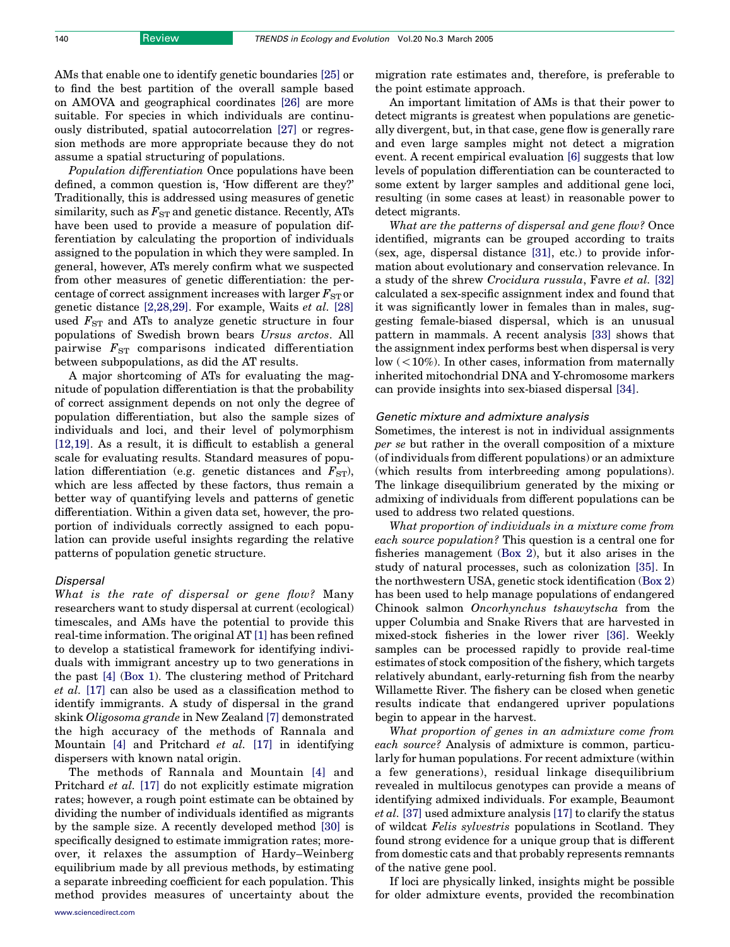AMs that enable one to identify genetic boundaries [\[25\]](#page-6-0) or to find the best partition of the overall sample based on AMOVA and geographical coordinates [\[26\]](#page-6-0) are more suitable. For species in which individuals are continuously distributed, spatial autocorrelation [\[27\]](#page-6-0) or regression methods are more appropriate because they do not assume a spatial structuring of populations.

Population differentiation Once populations have been defined, a common question is, 'How different are they?' Traditionally, this is addressed using measures of genetic similarity, such as  $F_{ST}$  and genetic distance. Recently, ATs have been used to provide a measure of population differentiation by calculating the proportion of individuals assigned to the population in which they were sampled. In general, however, ATs merely confirm what we suspected from other measures of genetic differentiation: the percentage of correct assignment increases with larger  $F_{ST}$  or genetic distance [\[2,28,29\]](#page-5-0). For example, Waits et al. [\[28\]](#page-6-0) used  $F_{ST}$  and ATs to analyze genetic structure in four populations of Swedish brown bears Ursus arctos. All pairwise  $F_{ST}$  comparisons indicated differentiation between subpopulations, as did the AT results.

A major shortcoming of ATs for evaluating the magnitude of population differentiation is that the probability of correct assignment depends on not only the degree of population differentiation, but also the sample sizes of individuals and loci, and their level of polymorphism [\[12,19\].](#page-5-0) As a result, it is difficult to establish a general scale for evaluating results. Standard measures of population differentiation (e.g. genetic distances and  $F_{ST}$ ), which are less affected by these factors, thus remain a better way of quantifying levels and patterns of genetic differentiation. Within a given data set, however, the proportion of individuals correctly assigned to each population can provide useful insights regarding the relative patterns of population genetic structure.

## Dispersal

What is the rate of dispersal or gene flow? Many researchers want to study dispersal at current (ecological) timescales, and AMs have the potential to provide this real-time information. The original AT [\[1\]](#page-5-0) has been refined to develop a statistical framework for identifying individuals with immigrant ancestry up to two generations in the past [\[4\]](#page-5-0) (Box 1). The clustering method of Pritchard et al. [\[17\]](#page-6-0) can also be used as a classification method to identify immigrants. A study of dispersal in the grand skink Oligosoma grande in New Zealand [\[7\]](#page-5-0) demonstrated the high accuracy of the methods of Rannala and Mountain [\[4\]](#page-5-0) and Pritchard et al. [\[17\]](#page-6-0) in identifying dispersers with known natal origin.

The methods of Rannala and Mountain [\[4\]](#page-5-0) and Pritchard et al. [\[17\]](#page-6-0) do not explicitly estimate migration rates; however, a rough point estimate can be obtained by dividing the number of individuals identified as migrants by the sample size. A recently developed method [\[30\]](#page-6-0) is specifically designed to estimate immigration rates; moreover, it relaxes the assumption of Hardy–Weinberg equilibrium made by all previous methods, by estimating a separate inbreeding coefficient for each population. This method provides measures of uncertainty about the migration rate estimates and, therefore, is preferable to the point estimate approach.

An important limitation of AMs is that their power to detect migrants is greatest when populations are genetically divergent, but, in that case, gene flow is generally rare and even large samples might not detect a migration event. A recent empirical evaluation [\[6\]](#page-5-0) suggests that low levels of population differentiation can be counteracted to some extent by larger samples and additional gene loci, resulting (in some cases at least) in reasonable power to detect migrants.

What are the patterns of dispersal and gene flow? Once identified, migrants can be grouped according to traits (sex, age, dispersal distance [\[31\],](#page-6-0) etc.) to provide information about evolutionary and conservation relevance. In a study of the shrew Crocidura russula, Favre et al. [\[32\]](#page-6-0) calculated a sex-specific assignment index and found that it was significantly lower in females than in males, suggesting female-biased dispersal, which is an unusual pattern in mammals. A recent analysis [\[33\]](#page-6-0) shows that the assignment index performs best when dispersal is very low  $\left($  < 10%). In other cases, information from maternally inherited mitochondrial DNA and Y-chromosome markers can provide insights into sex-biased dispersal [\[34\]](#page-6-0).

## Genetic mixture and admixture analysis

Sometimes, the interest is not in individual assignments per se but rather in the overall composition of a mixture (of individuals from different populations) or an admixture (which results from interbreeding among populations). The linkage disequilibrium generated by the mixing or admixing of individuals from different populations can be used to address two related questions.

What proportion of individuals in a mixture come from each source population? This question is a central one for fisheries management (Box 2), but it also arises in the study of natural processes, such as colonization [\[35\].](#page-6-0) In the northwestern USA, genetic stock identification (Box 2) has been used to help manage populations of endangered Chinook salmon Oncorhynchus tshawytscha from the upper Columbia and Snake Rivers that are harvested in mixed-stock fisheries in the lower river [\[36\]](#page-6-0). Weekly samples can be processed rapidly to provide real-time estimates of stock composition of the fishery, which targets relatively abundant, early-returning fish from the nearby Willamette River. The fishery can be closed when genetic results indicate that endangered upriver populations begin to appear in the harvest.

What proportion of genes in an admixture come from each source? Analysis of admixture is common, particularly for human populations. For recent admixture (within a few generations), residual linkage disequilibrium revealed in multilocus genotypes can provide a means of identifying admixed individuals. For example, Beaumont et al. [\[37\]](#page-6-0) used admixture analysis [\[17\]](#page-6-0) to clarify the status of wildcat Felis sylvestris populations in Scotland. They found strong evidence for a unique group that is different from domestic cats and that probably represents remnants of the native gene pool.

If loci are physically linked, insights might be possible for older admixture events, provided the recombination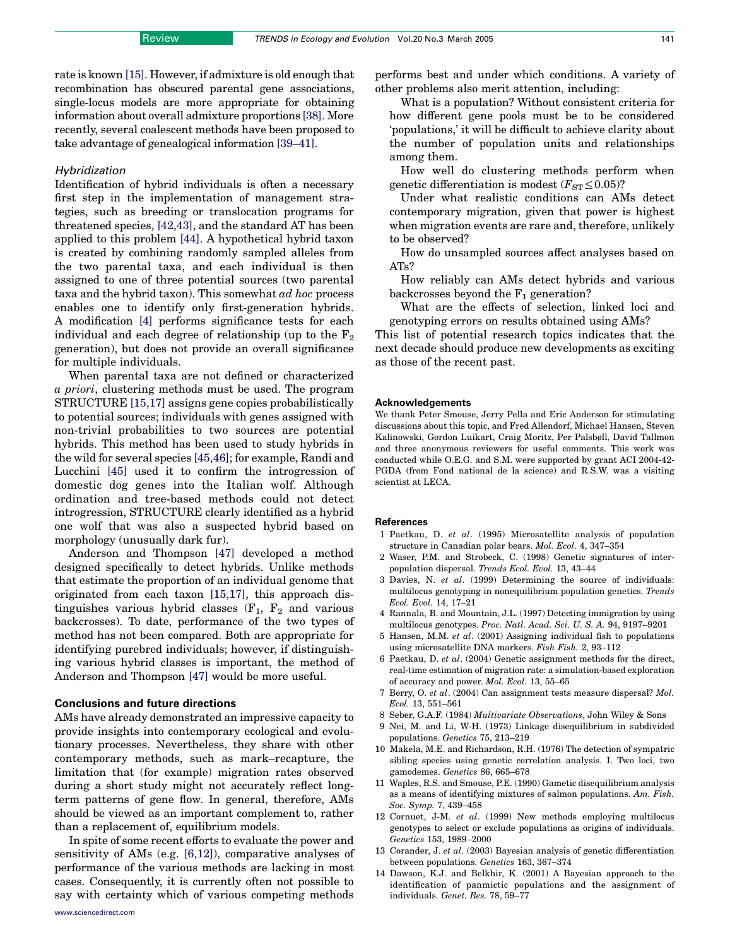rate is known [\[15\]](#page-6-0). However, if admixture is old enough that recombination has obscured parental gene associations, single-locus models are more appropriate for obtaining information about overall admixture proportions [\[38\].](#page-6-0) More recently, several coalescent methods have been proposed to take advantage of genealogical information [\[39–41\].](#page-6-0)

## Hybridization

Identification of hybrid individuals is often a necessary first step in the implementation of management strategies, such as breeding or translocation programs for threatened species, [\[42,43\],](#page-6-0) and the standard AT has been applied to this problem [\[44\].](#page-6-0) A hypothetical hybrid taxon is created by combining randomly sampled alleles from the two parental taxa, and each individual is then assigned to one of three potential sources (two parental taxa and the hybrid taxon). This somewhat ad hoc process enables one to identify only first-generation hybrids. A modification [\[4\]](#page-5-0) performs significance tests for each individual and each degree of relationship (up to the  $F_2$ ) generation), but does not provide an overall significance for multiple individuals.

When parental taxa are not defined or characterized a priori, clustering methods must be used. The program STRUCTURE [\[15,17\]](#page-6-0) assigns gene copies probabilistically to potential sources; individuals with genes assigned with non-trivial probabilities to two sources are potential hybrids. This method has been used to study hybrids in the wild for several species [\[45,46\]](#page-6-0); for example, Randi and Lucchini [\[45\]](#page-6-0) used it to confirm the introgression of domestic dog genes into the Italian wolf. Although ordination and tree-based methods could not detect introgression, STRUCTURE clearly identified as a hybrid one wolf that was also a suspected hybrid based on morphology (unusually dark fur).

Anderson and Thompson [\[47\]](#page-6-0) developed a method designed specifically to detect hybrids. Unlike methods that estimate the proportion of an individual genome that originated from each taxon [\[15,17\],](#page-6-0) this approach distinguishes various hybrid classes  $(F_1, F_2, F_3)$  and various backcrosses). To date, performance of the two types of method has not been compared. Both are appropriate for identifying purebred individuals; however, if distinguishing various hybrid classes is important, the method of Anderson and Thompson [\[47\]](#page-6-0) would be more useful.

## Conclusions and future directions

AMs have already demonstrated an impressive capacity to provide insights into contemporary ecological and evolutionary processes. Nevertheless, they share with other contemporary methods, such as mark–recapture, the limitation that (for example) migration rates observed during a short study might not accurately reflect longterm patterns of gene flow. In general, therefore, AMs should be viewed as an important complement to, rather than a replacement of, equilibrium models.

<span id="page-5-0"></span>In spite of some recent efforts to evaluate the power and sensitivity of AMs (e.g. [\[6,12\]](#page-5-0)), comparative analyses of performance of the various methods are lacking in most cases. Consequently, it is currently often not possible to say with certainty which of various competing methods performs best and under which conditions. A variety of other problems also merit attention, including:

What is a population? Without consistent criteria for how different gene pools must be to be considered 'populations,' it will be difficult to achieve clarity about the number of population units and relationships among them.

How well do clustering methods perform when genetic differentiation is modest  $(F_{ST} \le 0.05)$ ?

Under what realistic conditions can AMs detect contemporary migration, given that power is highest when migration events are rare and, therefore, unlikely to be observed?

How do unsampled sources affect analyses based on ATs?

How reliably can AMs detect hybrids and various backcrosses beyond the  $F_1$  generation?

What are the effects of selection, linked loci and genotyping errors on results obtained using AMs?

This list of potential research topics indicates that the next decade should produce new developments as exciting as those of the recent past.

#### Acknowledgements

We thank Peter Smouse, Jerry Pella and Eric Anderson for stimulating discussions about this topic, and Fred Allendorf, Michael Hansen, Steven Kalinowski, Gordon Luikart, Craig Moritz, Per Palsbøll, David Tallmon and three anonymous reviewers for useful comments. This work was conducted while O.E.G. and S.M. were supported by grant ACI 2004-42- PGDA (from Fond national de la science) and R.S.W. was a visiting scientist at LECA.

#### References

- 1 Paetkau, D. et al. (1995) Microsatellite analysis of population structure in Canadian polar bears. Mol. Ecol. 4, 347–354
- 2 Waser, P.M. and Strobeck, C. (1998) Genetic signatures of interpopulation dispersal. Trends Ecol. Evol. 13, 43–44
- 3 Davies, N. et al. (1999) Determining the source of individuals: multilocus genotyping in nonequilibrium population genetics. Trends Ecol. Evol. 14, 17–21
- 4 Rannala, B. and Mountain, J.L. (1997) Detecting immigration by using multilocus genotypes. Proc. Natl. Acad. Sci. U. S. A. 94, 9197–9201
- 5 Hansen, M.M. et al. (2001) Assigning individual fish to populations using microsatellite DNA markers. Fish Fish. 2, 93–112
- 6 Paetkau, D. et al. (2004) Genetic assignment methods for the direct, real-time estimation of migration rate: a simulation-based exploration of accuracy and power. Mol. Ecol. 13, 55–65
- 7 Berry, O. et al. (2004) Can assignment tests measure dispersal? Mol. Ecol. 13, 551–561
- 8 Seber, G.A.F. (1984) Multivariate Observations, John Wiley & Sons
- 9 Nei, M. and Li, W-H. (1973) Linkage disequilibrium in subdivided populations. Genetics 75, 213–219
- 10 Makela, M.E. and Richardson, R.H. (1976) The detection of sympatric sibling species using genetic correlation analysis. I. Two loci, two gamodemes. Genetics 86, 665–678
- 11 Waples, R.S. and Smouse, P.E. (1990) Gametic disequilibrium analysis as a means of identifying mixtures of salmon populations. Am. Fish. Soc. Symp. 7, 439–458
- 12 Cornuet, J-M. et al. (1999) New methods employing multilocus genotypes to select or exclude populations as origins of individuals. Genetics 153, 1989–2000
- 13 Corander, J. et al. (2003) Bayesian analysis of genetic differentiation between populations. Genetics 163, 367–374
- 14 Dawson, K.J. and Belkhir, K. (2001) A Bayesian approach to the identification of panmictic populations and the assignment of individuals. Genet. Res. 78, 59–77